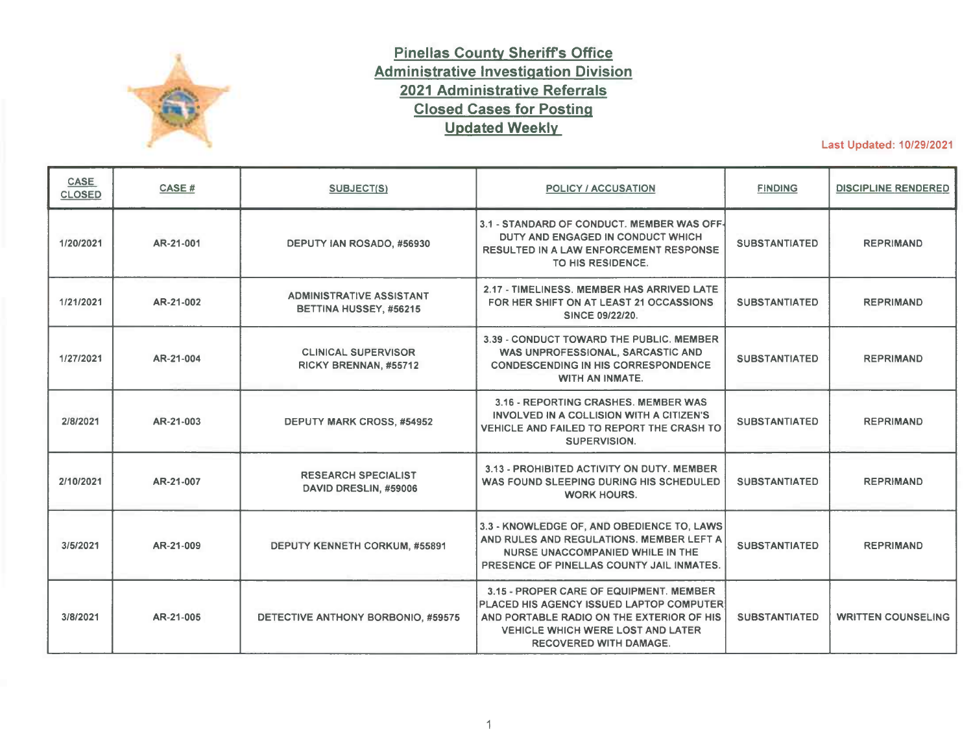

## **Pinellas County Sheriffs Office Administrative Investigation Division 2021 Administrative Referrals Closed Cases for Posting Updated Weekly**

Last Updated: 10/29/2021

| <b>CASE</b><br><b>CLOSED</b> | CASE#     | SUBJECT(S)                                                | <b>POLICY / ACCUSATION</b>                                                                                                                                                                                           | <b>FINDING</b>       | <b>DISCIPLINE RENDERED</b> |
|------------------------------|-----------|-----------------------------------------------------------|----------------------------------------------------------------------------------------------------------------------------------------------------------------------------------------------------------------------|----------------------|----------------------------|
| 1/20/2021                    | AR-21-001 | DEPUTY IAN ROSADO, #56930                                 | 3.1 - STANDARD OF CONDUCT. MEMBER WAS OFF-<br>DUTY AND ENGAGED IN CONDUCT WHICH<br><b>RESULTED IN A LAW ENFORCEMENT RESPONSE</b><br>TO HIS RESIDENCE.                                                                | <b>SUBSTANTIATED</b> | <b>REPRIMAND</b>           |
| 1/21/2021                    | AR-21-002 | <b>ADMINISTRATIVE ASSISTANT</b><br>BETTINA HUSSEY, #56215 | 2.17 - TIMELINESS, MEMBER HAS ARRIVED LATE<br>FOR HER SHIFT ON AT LEAST 21 OCCASSIONS<br><b>SINCE 09/22/20.</b>                                                                                                      | <b>SUBSTANTIATED</b> | <b>REPRIMAND</b>           |
| 1/27/2021                    | AR-21-004 | <b>CLINICAL SUPERVISOR</b><br>RICKY BRENNAN, #55712       | 3.39 - CONDUCT TOWARD THE PUBLIC, MEMBER<br>WAS UNPROFESSIONAL, SARCASTIC AND<br><b>CONDESCENDING IN HIS CORRESPONDENCE</b><br><b>WITH AN INMATE.</b>                                                                | <b>SUBSTANTIATED</b> | <b>REPRIMAND</b>           |
| 2/8/2021                     | AR-21-003 | <b>DEPUTY MARK CROSS, #54952</b>                          | 3.16 - REPORTING CRASHES, MEMBER WAS<br>INVOLVED IN A COLLISION WITH A CITIZEN'S<br>VEHICLE AND FAILED TO REPORT THE CRASH TO<br><b>SUPERVISION.</b>                                                                 | <b>SUBSTANTIATED</b> | <b>REPRIMAND</b>           |
| 2/10/2021                    | AR-21-007 | <b>RESEARCH SPECIALIST</b><br>DAVID DRESLIN, #59006       | 3.13 - PROHIBITED ACTIVITY ON DUTY. MEMBER<br>WAS FOUND SLEEPING DURING HIS SCHEDULED<br><b>WORK HOURS.</b>                                                                                                          | <b>SUBSTANTIATED</b> | <b>REPRIMAND</b>           |
| 3/5/2021                     | AR-21-009 | <b>DEPUTY KENNETH CORKUM, #55891</b>                      | 3.3 - KNOWLEDGE OF, AND OBEDIENCE TO, LAWS<br>AND RULES AND REGULATIONS. MEMBER LEFT A<br>NURSE UNACCOMPANIED WHILE IN THE<br>PRESENCE OF PINELLAS COUNTY JAIL INMATES.                                              | <b>SUBSTANTIATED</b> | <b>REPRIMAND</b>           |
| 3/8/2021                     | AR-21-005 | DETECTIVE ANTHONY BORBONIO, #59575                        | 3.15 - PROPER CARE OF EQUIPMENT. MEMBER<br><b>PLACED HIS AGENCY ISSUED LAPTOP COMPUTER</b><br>AND PORTABLE RADIO ON THE EXTERIOR OF HIS<br><b>VEHICLE WHICH WERE LOST AND LATER</b><br><b>RECOVERED WITH DAMAGE.</b> | <b>SUBSTANTIATED</b> | <b>WRITTEN COUNSELING</b>  |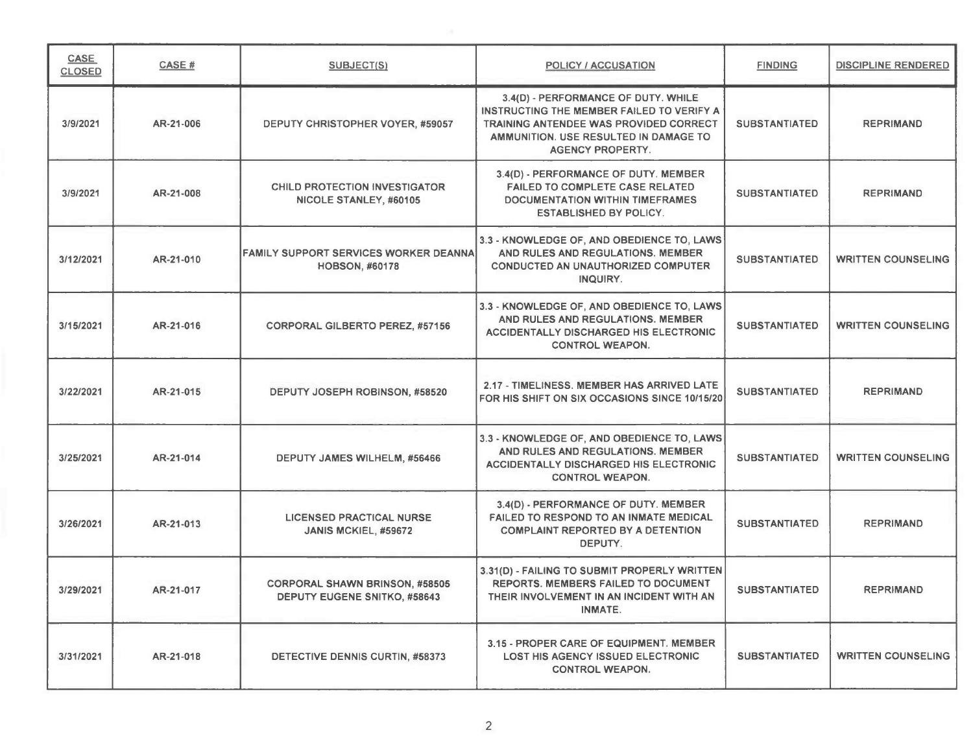| <b>CASE</b><br><b>CLOSED</b> | CASE #    | SUBJECT(S)                                                                   | <b>POLICY / ACCUSATION</b>                                                                                                                                                                     | <b>FINDING</b>       | <b>DISCIPLINE RENDERED</b> |
|------------------------------|-----------|------------------------------------------------------------------------------|------------------------------------------------------------------------------------------------------------------------------------------------------------------------------------------------|----------------------|----------------------------|
| 3/9/2021                     | AR-21-006 | DEPUTY CHRISTOPHER VOYER, #59057                                             | 3.4(D) - PERFORMANCE OF DUTY. WHILE<br>INSTRUCTING THE MEMBER FAILED TO VERIFY A<br>TRAINING ANTENDEE WAS PROVIDED CORRECT<br>AMMUNITION. USE RESULTED IN DAMAGE TO<br><b>AGENCY PROPERTY.</b> | <b>SUBSTANTIATED</b> | <b>REPRIMAND</b>           |
| 3/9/2021                     | AR-21-008 | <b>CHILD PROTECTION INVESTIGATOR</b><br>NICOLE STANLEY, #60105               | 3.4(D) - PERFORMANCE OF DUTY. MEMBER<br><b>FAILED TO COMPLETE CASE RELATED</b><br><b>DOCUMENTATION WITHIN TIMEFRAMES</b><br><b>ESTABLISHED BY POLICY.</b>                                      | <b>SUBSTANTIATED</b> | <b>REPRIMAND</b>           |
| 3/12/2021                    | AR-21-010 | <b>FAMILY SUPPORT SERVICES WORKER DEANNA</b><br><b>HOBSON, #60178</b>        | 3.3 - KNOWLEDGE OF, AND OBEDIENCE TO, LAWS<br>AND RULES AND REGULATIONS. MEMBER<br><b>CONDUCTED AN UNAUTHORIZED COMPUTER</b><br>INQUIRY.                                                       | <b>SUBSTANTIATED</b> | <b>WRITTEN COUNSELING</b>  |
| 3/15/2021                    | AR-21-016 | <b>CORPORAL GILBERTO PEREZ, #57156</b>                                       | 3.3 - KNOWLEDGE OF, AND OBEDIENCE TO, LAWS<br>AND RULES AND REGULATIONS. MEMBER<br><b>ACCIDENTALLY DISCHARGED HIS ELECTRONIC</b><br><b>CONTROL WEAPON.</b>                                     | <b>SUBSTANTIATED</b> | <b>WRITTEN COUNSELING</b>  |
| 3/22/2021                    | AR-21-015 | DEPUTY JOSEPH ROBINSON, #58520                                               | 2.17 - TIMELINESS, MEMBER HAS ARRIVED LATE<br>FOR HIS SHIFT ON SIX OCCASIONS SINCE 10/15/20                                                                                                    | <b>SUBSTANTIATED</b> | <b>REPRIMAND</b>           |
| 3/25/2021                    | AR-21-014 | DEPUTY JAMES WILHELM, #56466                                                 | 3.3 - KNOWLEDGE OF, AND OBEDIENCE TO, LAWS<br>AND RULES AND REGULATIONS. MEMBER<br><b>ACCIDENTALLY DISCHARGED HIS ELECTRONIC</b><br><b>CONTROL WEAPON.</b>                                     | <b>SUBSTANTIATED</b> | <b>WRITTEN COUNSELING</b>  |
| 3/26/2021                    | AR-21-013 | <b>LICENSED PRACTICAL NURSE</b><br>JANIS MCKIEL, #59672                      | 3.4(D) - PERFORMANCE OF DUTY. MEMBER<br><b>FAILED TO RESPOND TO AN INMATE MEDICAL</b><br><b>COMPLAINT REPORTED BY A DETENTION</b><br>DEPUTY.                                                   | <b>SUBSTANTIATED</b> | <b>REPRIMAND</b>           |
| 3/29/2021                    | AR-21-017 | <b>CORPORAL SHAWN BRINSON, #58505</b><br><b>DEPUTY EUGENE SNITKO, #58643</b> | 3.31(D) - FAILING TO SUBMIT PROPERLY WRITTEN<br>REPORTS. MEMBERS FAILED TO DOCUMENT<br>THEIR INVOLVEMENT IN AN INCIDENT WITH AN<br><b>INMATE.</b>                                              | <b>SUBSTANTIATED</b> | <b>REPRIMAND</b>           |
| 3/31/2021                    | AR-21-018 | DETECTIVE DENNIS CURTIN, #58373                                              | 3.15 - PROPER CARE OF EQUIPMENT. MEMBER<br><b>LOST HIS AGENCY ISSUED ELECTRONIC</b><br><b>CONTROL WEAPON.</b>                                                                                  | <b>SUBSTANTIATED</b> | <b>WRITTEN COUNSELING</b>  |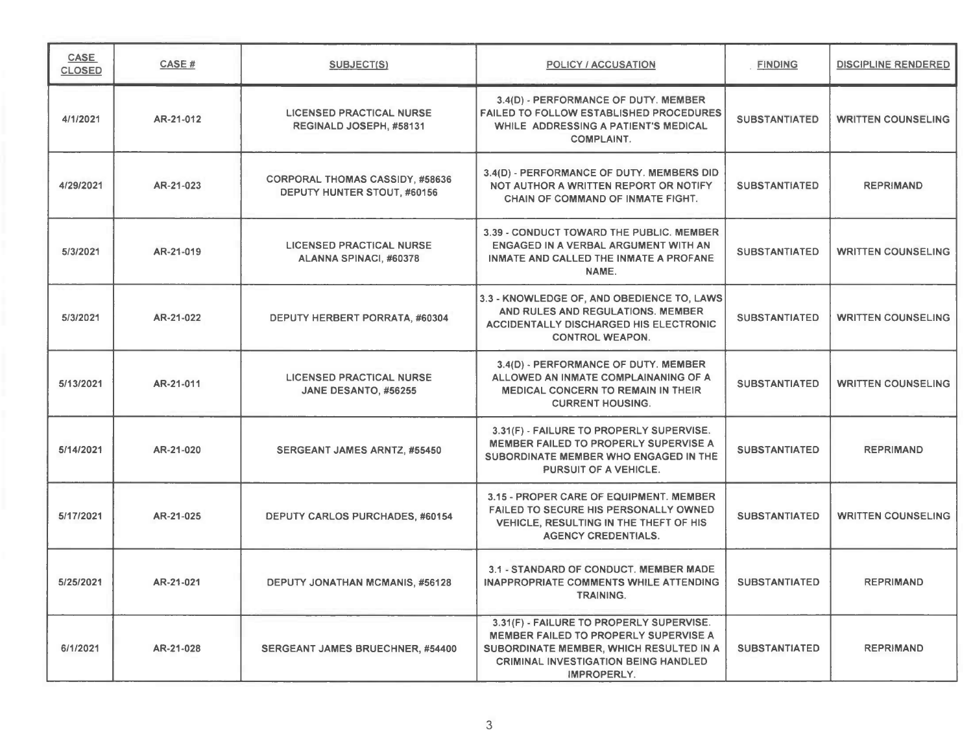| <b>CASE</b><br><b>CLOSED</b> | CASE#     | <b>SUBJECT(S)</b>                                                     | <b>POLICY / ACCUSATION</b>                                                                                                                                                                 | <b>FINDING</b>       | <b>DISCIPLINE RENDERED</b> |
|------------------------------|-----------|-----------------------------------------------------------------------|--------------------------------------------------------------------------------------------------------------------------------------------------------------------------------------------|----------------------|----------------------------|
| 4/1/2021                     | AR-21-012 | <b>LICENSED PRACTICAL NURSE</b><br>REGINALD JOSEPH, #58131            | 3.4(D) - PERFORMANCE OF DUTY. MEMBER<br><b>FAILED TO FOLLOW ESTABLISHED PROCEDURES</b><br>WHILE ADDRESSING A PATIENT'S MEDICAL<br><b>COMPLAINT.</b>                                        | <b>SUBSTANTIATED</b> | <b>WRITTEN COUNSELING</b>  |
| 4/29/2021                    | AR-21-023 | <b>CORPORAL THOMAS CASSIDY, #58636</b><br>DEPUTY HUNTER STOUT, #60156 | 3.4(D) - PERFORMANCE OF DUTY. MEMBERS DID<br>NOT AUTHOR A WRITTEN REPORT OR NOTIFY<br>CHAIN OF COMMAND OF INMATE FIGHT.                                                                    | <b>SUBSTANTIATED</b> | <b>REPRIMAND</b>           |
| 5/3/2021                     | AR-21-019 | <b>LICENSED PRACTICAL NURSE</b><br>ALANNA SPINACI, #60378             | 3.39 - CONDUCT TOWARD THE PUBLIC. MEMBER<br>ENGAGED IN A VERBAL ARGUMENT WITH AN<br>INMATE AND CALLED THE INMATE A PROFANE<br>NAME.                                                        | <b>SUBSTANTIATED</b> | <b>WRITTEN COUNSELING</b>  |
| 5/3/2021                     | AR-21-022 | DEPUTY HERBERT PORRATA, #60304                                        | 3.3 - KNOWLEDGE OF, AND OBEDIENCE TO, LAWS<br>AND RULES AND REGULATIONS. MEMBER<br>ACCIDENTALLY DISCHARGED HIS ELECTRONIC<br><b>CONTROL WEAPON.</b>                                        | <b>SUBSTANTIATED</b> | <b>WRITTEN COUNSELING</b>  |
| 5/13/2021                    | AR-21-011 | <b>LICENSED PRACTICAL NURSE</b><br>JANE DESANTO, #56255               | 3.4(D) - PERFORMANCE OF DUTY. MEMBER<br>ALLOWED AN INMATE COMPLAINANING OF A<br><b>MEDICAL CONCERN TO REMAIN IN THEIR</b><br><b>CURRENT HOUSING.</b>                                       | <b>SUBSTANTIATED</b> | <b>WRITTEN COUNSELING</b>  |
| 5/14/2021                    | AR-21-020 | SERGEANT JAMES ARNTZ, #55450                                          | 3.31(F) - FAILURE TO PROPERLY SUPERVISE.<br><b>MEMBER FAILED TO PROPERLY SUPERVISE A</b><br>SUBORDINATE MEMBER WHO ENGAGED IN THE<br>PURSUIT OF A VEHICLE.                                 | <b>SUBSTANTIATED</b> | <b>REPRIMAND</b>           |
| 5/17/2021                    | AR-21-025 | DEPUTY CARLOS PURCHADES, #60154                                       | 3.15 - PROPER CARE OF EQUIPMENT. MEMBER<br><b>FAILED TO SECURE HIS PERSONALLY OWNED</b><br>VEHICLE, RESULTING IN THE THEFT OF HIS<br><b>AGENCY CREDENTIALS.</b>                            | <b>SUBSTANTIATED</b> | <b>WRITTEN COUNSELING</b>  |
| 5/25/2021                    | AR-21-021 | <b>DEPUTY JONATHAN MCMANIS, #56128</b>                                | 3.1 - STANDARD OF CONDUCT. MEMBER MADE<br>INAPPROPRIATE COMMENTS WHILE ATTENDING<br><b>TRAINING.</b>                                                                                       | <b>SUBSTANTIATED</b> | <b>REPRIMAND</b>           |
| 6/1/2021                     | AR-21-028 | SERGEANT JAMES BRUECHNER, #54400                                      | 3.31(F) - FAILURE TO PROPERLY SUPERVISE.<br>MEMBER FAILED TO PROPERLY SUPERVISE A<br>SUBORDINATE MEMBER, WHICH RESULTED IN A<br><b>CRIMINAL INVESTIGATION BEING HANDLED</b><br>IMPROPERLY. | <b>SUBSTANTIATED</b> | <b>REPRIMAND</b>           |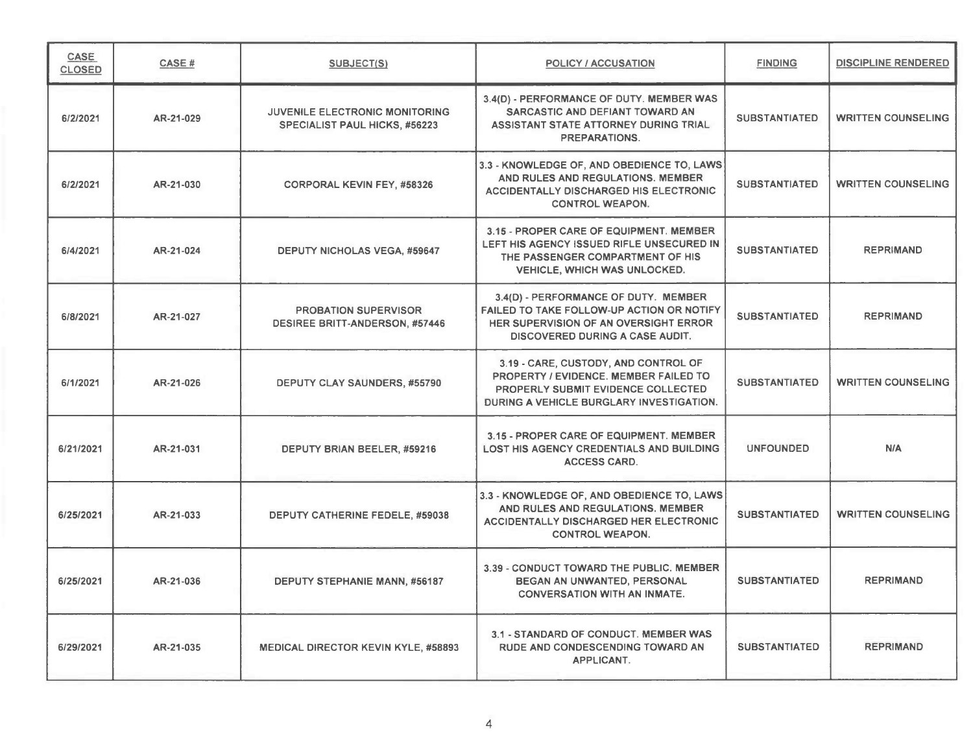| <b>CASE</b><br><b>CLOSED</b> | CASE#     | <b>SUBJECT(S)</b>                                                    | POLICY / ACCUSATION                                                                                                                                                  | <b>FINDING</b>       | <b>DISCIPLINE RENDERED</b> |
|------------------------------|-----------|----------------------------------------------------------------------|----------------------------------------------------------------------------------------------------------------------------------------------------------------------|----------------------|----------------------------|
| 6/2/2021                     | AR-21-029 | JUVENILE ELECTRONIC MONITORING<br>SPECIALIST PAUL HICKS, #56223      | 3.4(D) - PERFORMANCE OF DUTY. MEMBER WAS<br>SARCASTIC AND DEFIANT TOWARD AN<br>ASSISTANT STATE ATTORNEY DURING TRIAL<br>PREPARATIONS.                                | <b>SUBSTANTIATED</b> | <b>WRITTEN COUNSELING</b>  |
| 6/2/2021                     | AR-21-030 | <b>CORPORAL KEVIN FEY, #58326</b>                                    | 3.3 - KNOWLEDGE OF, AND OBEDIENCE TO, LAWS<br>AND RULES AND REGULATIONS. MEMBER<br><b>ACCIDENTALLY DISCHARGED HIS ELECTRONIC</b><br><b>CONTROL WEAPON.</b>           | <b>SUBSTANTIATED</b> | <b>WRITTEN COUNSELING</b>  |
| 6/4/2021                     | AR-21-024 | <b>DEPUTY NICHOLAS VEGA, #59647</b>                                  | 3.15 - PROPER CARE OF EQUIPMENT. MEMBER<br>LEFT HIS AGENCY ISSUED RIFLE UNSECURED IN<br>THE PASSENGER COMPARTMENT OF HIS<br><b>VEHICLE, WHICH WAS UNLOCKED.</b>      | <b>SUBSTANTIATED</b> | <b>REPRIMAND</b>           |
| 6/8/2021                     | AR-21-027 | <b>PROBATION SUPERVISOR</b><br><b>DESIREE BRITT-ANDERSON, #57446</b> | 3.4(D) - PERFORMANCE OF DUTY. MEMBER<br>FAILED TO TAKE FOLLOW-UP ACTION OR NOTIFY<br>HER SUPERVISION OF AN OVERSIGHT ERROR<br><b>DISCOVERED DURING A CASE AUDIT.</b> | <b>SUBSTANTIATED</b> | <b>REPRIMAND</b>           |
| 6/1/2021                     | AR-21-026 | <b>DEPUTY CLAY SAUNDERS, #55790</b>                                  | 3.19 - CARE, CUSTODY, AND CONTROL OF<br>PROPERTY / EVIDENCE. MEMBER FAILED TO<br>PROPERLY SUBMIT EVIDENCE COLLECTED<br>DURING A VEHICLE BURGLARY INVESTIGATION.      | <b>SUBSTANTIATED</b> | <b>WRITTEN COUNSELING</b>  |
| 6/21/2021                    | AR-21-031 | DEPUTY BRIAN BEELER, #59216                                          | 3.15 - PROPER CARE OF EQUIPMENT, MEMBER<br><b>LOST HIS AGENCY CREDENTIALS AND BUILDING</b><br><b>ACCESS CARD.</b>                                                    | <b>UNFOUNDED</b>     | N/A                        |
| 6/25/2021                    | AR-21-033 | DEPUTY CATHERINE FEDELE, #59038                                      | 3.3 - KNOWLEDGE OF, AND OBEDIENCE TO, LAWS<br>AND RULES AND REGULATIONS. MEMBER<br>ACCIDENTALLY DISCHARGED HER ELECTRONIC<br><b>CONTROL WEAPON.</b>                  | <b>SUBSTANTIATED</b> | <b>WRITTEN COUNSELING</b>  |
| 6/25/2021                    | AR-21-036 | <b>DEPUTY STEPHANIE MANN, #56187</b>                                 | 3.39 - CONDUCT TOWARD THE PUBLIC. MEMBER<br>BEGAN AN UNWANTED, PERSONAL<br><b>CONVERSATION WITH AN INMATE.</b>                                                       | <b>SUBSTANTIATED</b> | <b>REPRIMAND</b>           |
| 6/29/2021                    | AR-21-035 | <b>MEDICAL DIRECTOR KEVIN KYLE, #58893</b>                           | 3.1 - STANDARD OF CONDUCT. MEMBER WAS<br><b>RUDE AND CONDESCENDING TOWARD AN</b><br><b>APPLICANT.</b>                                                                | <b>SUBSTANTIATED</b> | <b>REPRIMAND</b>           |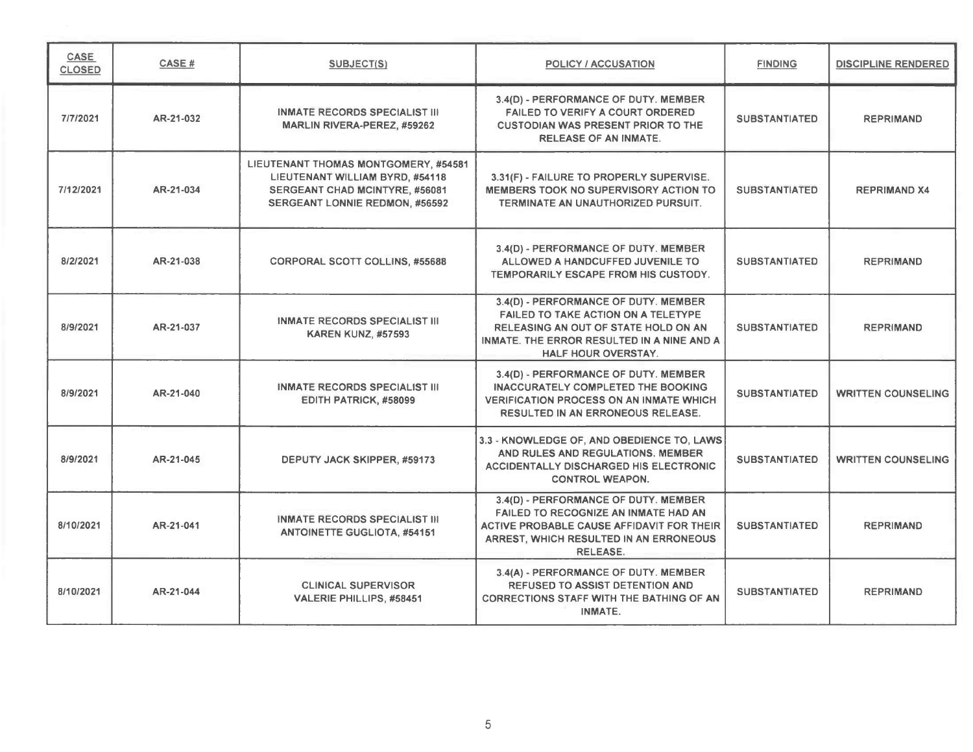| CASE<br><b>CLOSED</b> | CASE#     | <b>SUBJECT(S)</b>                                                                                                                                  | <b>POLICY / ACCUSATION</b>                                                                                                                                                                      | <b>FINDING</b>       | <b>DISCIPLINE RENDERED</b> |
|-----------------------|-----------|----------------------------------------------------------------------------------------------------------------------------------------------------|-------------------------------------------------------------------------------------------------------------------------------------------------------------------------------------------------|----------------------|----------------------------|
| 7/7/2021              | AR-21-032 | <b>INMATE RECORDS SPECIALIST III</b><br>MARLIN RIVERA-PEREZ, #59262                                                                                | 3.4(D) - PERFORMANCE OF DUTY. MEMBER<br><b>FAILED TO VERIFY A COURT ORDERED</b><br><b>CUSTODIAN WAS PRESENT PRIOR TO THE</b><br><b>RELEASE OF AN INMATE.</b>                                    | <b>SUBSTANTIATED</b> | <b>REPRIMAND</b>           |
| 7/12/2021             | AR-21-034 | LIEUTENANT THOMAS MONTGOMERY, #54581<br>LIEUTENANT WILLIAM BYRD, #54118<br>SERGEANT CHAD MCINTYRE, #56081<br><b>SERGEANT LONNIE REDMON, #56592</b> | 3.31(F) - FAILURE TO PROPERLY SUPERVISE.<br><b>MEMBERS TOOK NO SUPERVISORY ACTION TO</b><br>TERMINATE AN UNAUTHORIZED PURSUIT.                                                                  | <b>SUBSTANTIATED</b> | <b>REPRIMAND X4</b>        |
| 8/2/2021              | AR-21-038 | <b>CORPORAL SCOTT COLLINS, #55688</b>                                                                                                              | 3.4(D) - PERFORMANCE OF DUTY. MEMBER<br>ALLOWED A HANDCUFFED JUVENILE TO<br>TEMPORARILY ESCAPE FROM HIS CUSTODY.                                                                                | <b>SUBSTANTIATED</b> | <b>REPRIMAND</b>           |
| 8/9/2021              | AR-21-037 | <b>INMATE RECORDS SPECIALIST III</b><br><b>KAREN KUNZ, #57593</b>                                                                                  | 3.4(D) - PERFORMANCE OF DUTY. MEMBER<br><b>FAILED TO TAKE ACTION ON A TELETYPE</b><br>RELEASING AN OUT OF STATE HOLD ON AN<br>INMATE. THE ERROR RESULTED IN A NINE AND A<br>HALF HOUR OVERSTAY. | <b>SUBSTANTIATED</b> | <b>REPRIMAND</b>           |
| 8/9/2021              | AR-21-040 | <b>INMATE RECORDS SPECIALIST III</b><br>EDITH PATRICK, #58099                                                                                      | 3.4(D) - PERFORMANCE OF DUTY. MEMBER<br>INACCURATELY COMPLETED THE BOOKING<br><b>VERIFICATION PROCESS ON AN INMATE WHICH</b><br><b>RESULTED IN AN ERRONEOUS RELEASE.</b>                        | <b>SUBSTANTIATED</b> | <b>WRITTEN COUNSELING</b>  |
| 8/9/2021              | AR-21-045 | DEPUTY JACK SKIPPER, #59173                                                                                                                        | 3.3 - KNOWLEDGE OF, AND OBEDIENCE TO, LAWS<br>AND RULES AND REGULATIONS. MEMBER<br><b>ACCIDENTALLY DISCHARGED HIS ELECTRONIC</b><br><b>CONTROL WEAPON.</b>                                      | <b>SUBSTANTIATED</b> | <b>WRITTEN COUNSELING</b>  |
| 8/10/2021             | AR-21-041 | INMATE RECORDS SPECIALIST III<br><b>ANTOINETTE GUGLIOTA, #54151</b>                                                                                | 3.4(D) - PERFORMANCE OF DUTY. MEMBER<br><b>FAILED TO RECOGNIZE AN INMATE HAD AN</b><br>ACTIVE PROBABLE CAUSE AFFIDAVIT FOR THEIR<br>ARREST, WHICH RESULTED IN AN ERRONEOUS<br><b>RELEASE.</b>   | <b>SUBSTANTIATED</b> | <b>REPRIMAND</b>           |
| 8/10/2021             | AR-21-044 | <b>CLINICAL SUPERVISOR</b><br>VALERIE PHILLIPS, #58451                                                                                             | 3.4(A) - PERFORMANCE OF DUTY. MEMBER<br><b>REFUSED TO ASSIST DETENTION AND</b><br><b>CORRECTIONS STAFF WITH THE BATHING OF AN</b><br>INMATE.                                                    | <b>SUBSTANTIATED</b> | <b>REPRIMAND</b>           |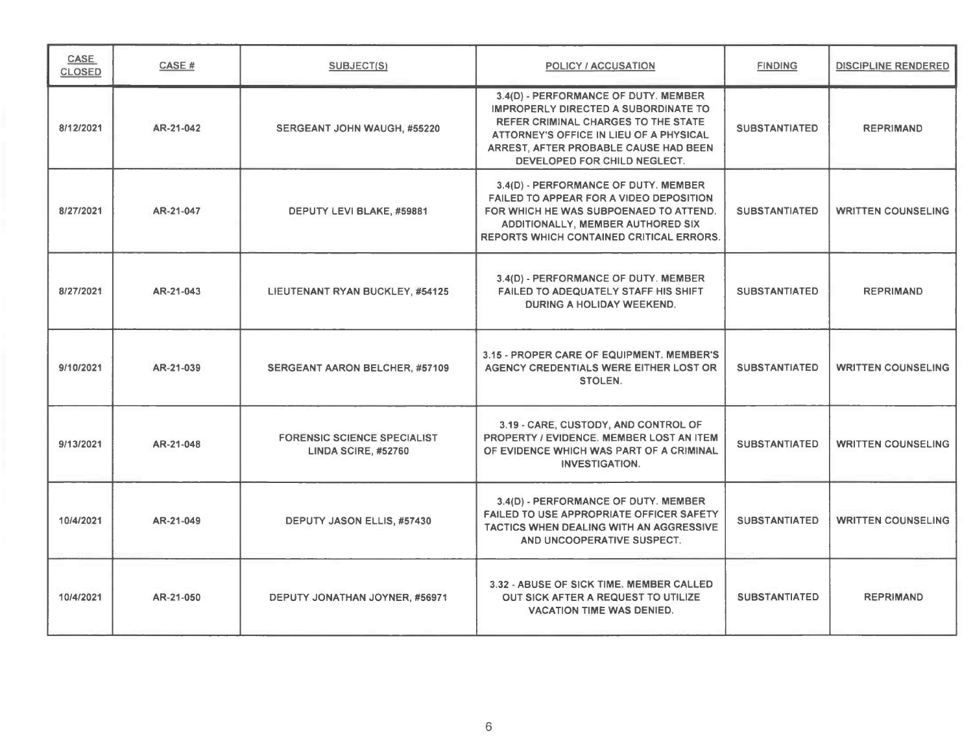| CASE<br><b>CLOSED</b> | CASE#     | SUBJECT(S)                                                | POLICY / ACCUSATION                                                                                                                                                                                                                            | <b>FINDING</b>       | DISCIPLINE RENDERED       |
|-----------------------|-----------|-----------------------------------------------------------|------------------------------------------------------------------------------------------------------------------------------------------------------------------------------------------------------------------------------------------------|----------------------|---------------------------|
| 8/12/2021             | AR-21-042 | SERGEANT JOHN WAUGH, #55220                               | 3.4(D) - PERFORMANCE OF DUTY. MEMBER<br>IMPROPERLY DIRECTED A SUBORDINATE TO<br><b>REFER CRIMINAL CHARGES TO THE STATE</b><br>ATTORNEY'S OFFICE IN LIEU OF A PHYSICAL<br>ARREST, AFTER PROBABLE CAUSE HAD BEEN<br>DEVELOPED FOR CHILD NEGLECT. | <b>SUBSTANTIATED</b> | <b>REPRIMAND</b>          |
| 8/27/2021             | AR-21-047 | DEPUTY LEVI BLAKE, #59881                                 | 3.4(D) - PERFORMANCE OF DUTY. MEMBER<br>FAILED TO APPEAR FOR A VIDEO DEPOSITION<br>FOR WHICH HE WAS SUBPOENAED TO ATTEND.<br>ADDITIONALLY, MEMBER AUTHORED SIX<br><b>REPORTS WHICH CONTAINED CRITICAL ERRORS.</b>                              | <b>SUBSTANTIATED</b> | <b>WRITTEN COUNSELING</b> |
| 8/27/2021             | AR-21-043 | LIEUTENANT RYAN BUCKLEY, #54125                           | 3.4(D) - PERFORMANCE OF DUTY. MEMBER<br>FAILED TO ADEQUATELY STAFF HIS SHIFT<br>DURING A HOLIDAY WEEKEND.                                                                                                                                      | <b>SUBSTANTIATED</b> | <b>REPRIMAND</b>          |
| 9/10/2021             | AR-21-039 | <b>SERGEANT AARON BELCHER, #57109</b>                     | 3.15 - PROPER CARE OF EQUIPMENT. MEMBER'S<br>AGENCY CREDENTIALS WERE EITHER LOST OR<br>STOLEN.                                                                                                                                                 | <b>SUBSTANTIATED</b> | <b>WRITTEN COUNSELING</b> |
| 9/13/2021             | AR-21-048 | <b>FORENSIC SCIENCE SPECIALIST</b><br>LINDA SCIRE, #52760 | 3.19 - CARE, CUSTODY, AND CONTROL OF<br>PROPERTY / EVIDENCE, MEMBER LOST AN ITEM<br>OF EVIDENCE WHICH WAS PART OF A CRIMINAL<br><b>INVESTIGATION.</b>                                                                                          | <b>SUBSTANTIATED</b> | <b>WRITTEN COUNSELING</b> |
| 10/4/2021             | AR-21-049 | DEPUTY JASON ELLIS, #57430                                | 3.4(D) - PERFORMANCE OF DUTY. MEMBER<br><b>FAILED TO USE APPROPRIATE OFFICER SAFETY</b><br>TACTICS WHEN DEALING WITH AN AGGRESSIVE<br>AND UNCOOPERATIVE SUSPECT.                                                                               | <b>SUBSTANTIATED</b> | <b>WRITTEN COUNSELING</b> |
| 10/4/2021             | AR-21-050 | DEPUTY JONATHAN JOYNER, #56971                            | 3.32 - ABUSE OF SICK TIME. MEMBER CALLED<br>OUT SICK AFTER A REQUEST TO UTILIZE<br><b>VACATION TIME WAS DENIED.</b>                                                                                                                            | <b>SUBSTANTIATED</b> | <b>REPRIMAND</b>          |